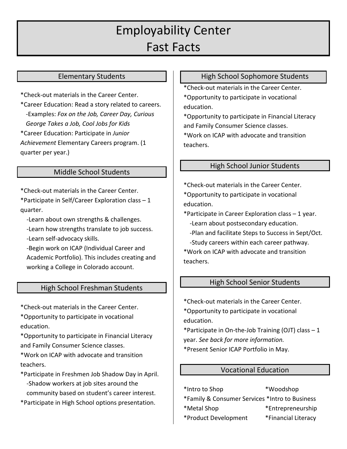# Employability Center Fast Facts

#### Elementary Students

\*Check-out materials in the Career Center.

\*Career Education: Read a story related to careers. -Examples: *Fox on the Job, Career Day, Curious George Takes a Job, Cool Jobs for Kids* \*Career Education: Participate in *Junior Achievement* Elementary Careers program. (1 quarter per year.)

#### Middle School Students

\*Check-out materials in the Career Center.

\*Participate in Self/Career Exploration class – 1 quarter.

-Learn about own strengths & challenges.

-Learn how strengths translate to job success.

-Learn self-advocacy skills.

 -Begin work on ICAP (Individual Career and Academic Portfolio). This includes creating and working a College in Colorado account.

## High School Freshman Students

\*Check-out materials in the Career Center.

\*Opportunity to participate in vocational education.

\*Opportunity to participate in Financial Literacy and Family Consumer Science classes.

\*Work on ICAP with advocate and transition teachers.

\*Participate in Freshmen Job Shadow Day in April. -Shadow workers at job sites around the community based on student's career interest.

\*Participate in High School options presentation.

#### High School Sophomore Students

\*Check-out materials in the Career Center.

\*Opportunity to participate in vocational education.

\*Opportunity to participate in Financial Literacy and Family Consumer Science classes.

\*Work on ICAP with advocate and transition teachers.

#### High School Junior Students

\*Check-out materials in the Career Center. \*Opportunity to participate in vocational

education.

\*Participate in Career Exploration class – 1 year. -Learn about postsecondary education.

- -Plan and facilitate Steps to Success in Sept/Oct.
- -Study careers within each career pathway.

\*Work on ICAP with advocate and transition teachers.

#### High School Senior Students

\*Check-out materials in the Career Center.

\*Opportunity to participate in vocational education.

\*Participate in On-the-Job Training (OJT) class – 1 year. *See back for more information.*

\*Present Senior ICAP Portfolio in May.

#### Vocational Education

\*Intro to Shop \*Woodshop \*Family & Consumer Services \*Intro to Business

\*Metal Shop \*Entrepreneurship

- \*Product Development \*Financial Literacy
-